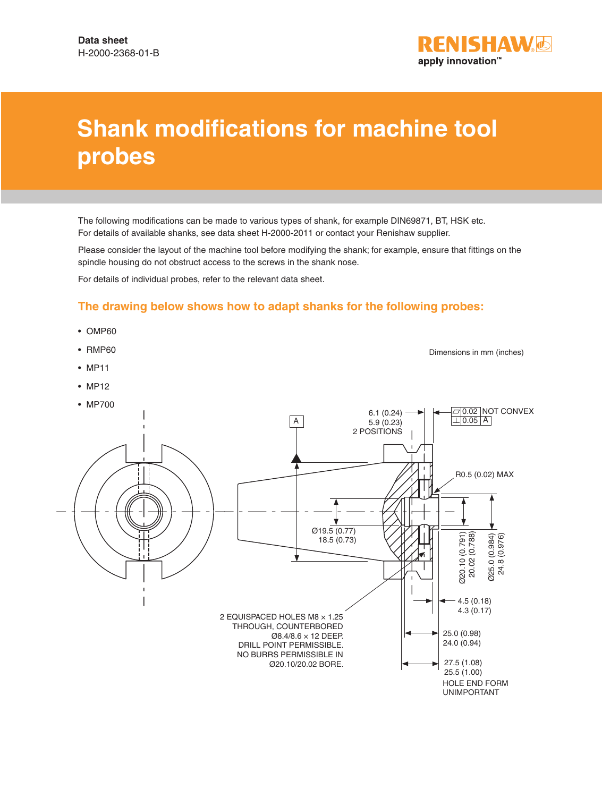

## **Shank modifications for machine tool probes**

The following modifications can be made to various types of shank, for example DIN69871, BT, HSK etc. For details of available shanks, see data sheet H-2000-2011 or contact your Renishaw supplier.

Please consider the layout of the machine tool before modifying the shank; for example, ensure that fittings on the spindle housing do not obstruct access to the screws in the shank nose.

For details of individual probes, refer to the relevant data sheet.

## **The drawing below shows how to adapt shanks for the following probes:**